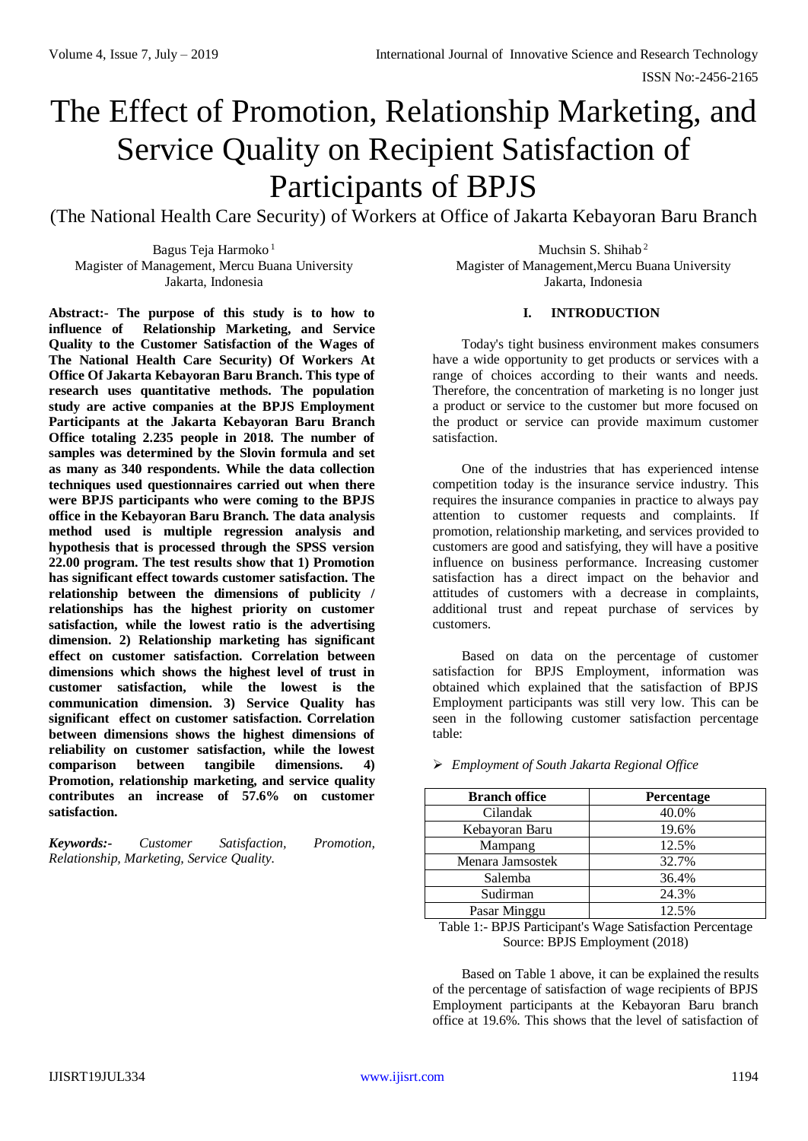# The Effect of Promotion, Relationship Marketing, and Service Quality on Recipient Satisfaction of Participants of BPJS

(The National Health Care Security) of Workers at Office of Jakarta Kebayoran Baru Branch

Bagus Teja Harmoko <sup>1</sup> Magister of Management, Mercu Buana University Jakarta, Indonesia

Muchsin S. Shihab <sup>2</sup> Magister of Management,Mercu Buana University Jakarta, Indonesia

# **I. INTRODUCTION**

Today's tight business environment makes consumers have a wide opportunity to get products or services with a range of choices according to their wants and needs. Therefore, the concentration of marketing is no longer just a product or service to the customer but more focused on the product or service can provide maximum customer satisfaction.

One of the industries that has experienced intense competition today is the insurance service industry. This requires the insurance companies in practice to always pay attention to customer requests and complaints. If promotion, relationship marketing, and services provided to customers are good and satisfying, they will have a positive influence on business performance. Increasing customer satisfaction has a direct impact on the behavior and attitudes of customers with a decrease in complaints, additional trust and repeat purchase of services by customers.

Based on data on the percentage of customer satisfaction for BPJS Employment, information was obtained which explained that the satisfaction of BPJS Employment participants was still very low. This can be seen in the following customer satisfaction percentage table:

| <b>Branch office</b> | Percentage |
|----------------------|------------|
| Cilandak             | 40.0%      |
| Kebayoran Baru       | 19.6%      |
| Mampang              | 12.5%      |
| Menara Jamsostek     | 32.7%      |
| Salemba              | 36.4%      |
| Sudirman             | 24.3%      |
| Pasar Minggu         | 12.5%      |

*Employment of South Jakarta Regional Office*

Table 1:- BPJS Participant's Wage Satisfaction Percentage Source: BPJS Employment (2018)

Based on Table 1 above, it can be explained the results of the percentage of satisfaction of wage recipients of BPJS Employment participants at the Kebayoran Baru branch office at 19.6%. This shows that the level of satisfaction of

**Abstract:- The purpose of this study is to how to influence of Relationship Marketing, and Service Quality to the Customer Satisfaction of the Wages of The National Health Care Security) Of Workers At Office Of Jakarta Kebayoran Baru Branch. This type of research uses quantitative methods. The population study are active companies at the BPJS Employment Participants at the Jakarta Kebayoran Baru Branch Office totaling 2.235 people in 2018. The number of samples was determined by the Slovin formula and set as many as 340 respondents. While the data collection techniques used questionnaires carried out when there were BPJS participants who were coming to the BPJS office in the Kebayoran Baru Branch. The data analysis method used is multiple regression analysis and hypothesis that is processed through the SPSS version 22.00 program. The test results show that 1) Promotion has significant effect towards customer satisfaction. The relationship between the dimensions of publicity / relationships has the highest priority on customer satisfaction, while the lowest ratio is the advertising dimension. 2) Relationship marketing has significant effect on customer satisfaction. Correlation between dimensions which shows the highest level of trust in customer satisfaction, while the lowest is the communication dimension. 3) Service Quality has significant effect on customer satisfaction. Correlation between dimensions shows the highest dimensions of reliability on customer satisfaction, while the lowest comparison between tangibile dimensions. 4) Promotion, relationship marketing, and service quality contributes an increase of 57.6% on customer satisfaction.**

*Keywords:- Customer Satisfaction, Promotion, Relationship, Marketing, Service Quality.*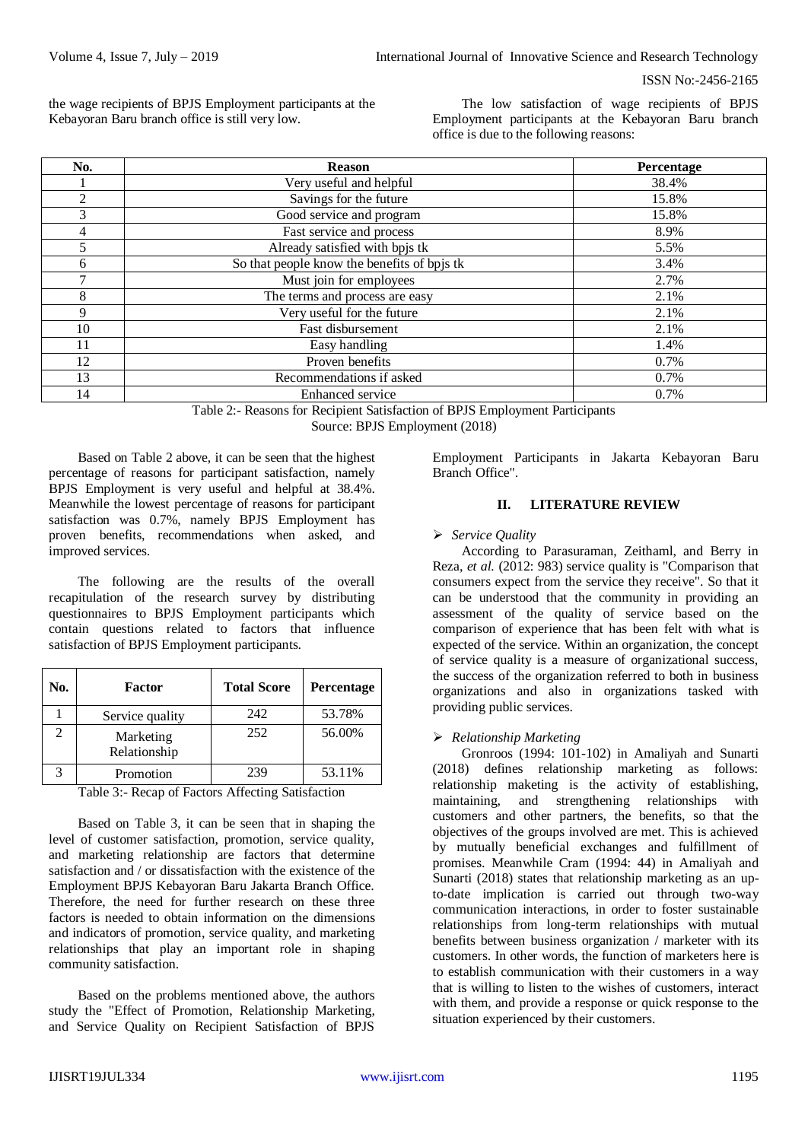the wage recipients of BPJS Employment participants at the Kebayoran Baru branch office is still very low.

The low satisfaction of wage recipients of BPJS Employment participants at the Kebayoran Baru branch office is due to the following reasons:

| No.            | <b>Reason</b>                               | <b>Percentage</b> |
|----------------|---------------------------------------------|-------------------|
|                | Very useful and helpful                     | 38.4%             |
| $\mathfrak{D}$ | Savings for the future                      | 15.8%             |
| 3              | Good service and program                    | 15.8%             |
| 4              | Fast service and process                    | 8.9%              |
|                | Already satisfied with bpjs tk              | 5.5%              |
| 6              | So that people know the benefits of bpjs tk | 3.4%              |
|                | Must join for employees                     | 2.7%              |
| 8              | The terms and process are easy              | 2.1%              |
| 9              | Very useful for the future                  | 2.1%              |
| 10             | Fast disbursement                           | 2.1%              |
| 11             | Easy handling                               | 1.4%              |
| 12             | Proven benefits                             | 0.7%              |
| 13             | Recommendations if asked                    | 0.7%              |
| 14             | Enhanced service                            | 0.7%              |

Table 2:- Reasons for Recipient Satisfaction of BPJS Employment Participants Source: BPJS Employment (2018)

Based on Table 2 above, it can be seen that the highest percentage of reasons for participant satisfaction, namely BPJS Employment is very useful and helpful at 38.4%. Meanwhile the lowest percentage of reasons for participant satisfaction was 0.7%, namely BPJS Employment has proven benefits, recommendations when asked, and improved services.

The following are the results of the overall recapitulation of the research survey by distributing questionnaires to BPJS Employment participants which contain questions related to factors that influence satisfaction of BPJS Employment participants.

| No. | <b>Factor</b>             | <b>Total Score</b> | <b>Percentage</b> |
|-----|---------------------------|--------------------|-------------------|
|     | Service quality           | 242                | 53.78%            |
|     | Marketing<br>Relationship | 252                | 56.00%            |
|     | Promotion                 | 239                | 53.11%            |

Table 3:- Recap of Factors Affecting Satisfaction

Based on Table 3, it can be seen that in shaping the level of customer satisfaction, promotion, service quality, and marketing relationship are factors that determine satisfaction and / or dissatisfaction with the existence of the Employment BPJS Kebayoran Baru Jakarta Branch Office. Therefore, the need for further research on these three factors is needed to obtain information on the dimensions and indicators of promotion, service quality, and marketing relationships that play an important role in shaping community satisfaction.

Based on the problems mentioned above, the authors study the "Effect of Promotion, Relationship Marketing, and Service Quality on Recipient Satisfaction of BPJS

Employment Participants in Jakarta Kebayoran Baru Branch Office".

# **II. LITERATURE REVIEW**

#### *Service Quality*

According to Parasuraman, Zeithaml, and Berry in Reza, *et al.* (2012: 983) service quality is "Comparison that consumers expect from the service they receive". So that it can be understood that the community in providing an assessment of the quality of service based on the comparison of experience that has been felt with what is expected of the service. Within an organization, the concept of service quality is a measure of organizational success, the success of the organization referred to both in business organizations and also in organizations tasked with providing public services.

# *Relationship Marketing*

Gronroos (1994: 101-102) in Amaliyah and Sunarti (2018) defines relationship marketing as follows: relationship maketing is the activity of establishing, maintaining, and strengthening relationships with customers and other partners, the benefits, so that the objectives of the groups involved are met. This is achieved by mutually beneficial exchanges and fulfillment of promises. Meanwhile Cram (1994: 44) in Amaliyah and Sunarti (2018) states that relationship marketing as an upto-date implication is carried out through two-way communication interactions, in order to foster sustainable relationships from long-term relationships with mutual benefits between business organization / marketer with its customers. In other words, the function of marketers here is to establish communication with their customers in a way that is willing to listen to the wishes of customers, interact with them, and provide a response or quick response to the situation experienced by their customers.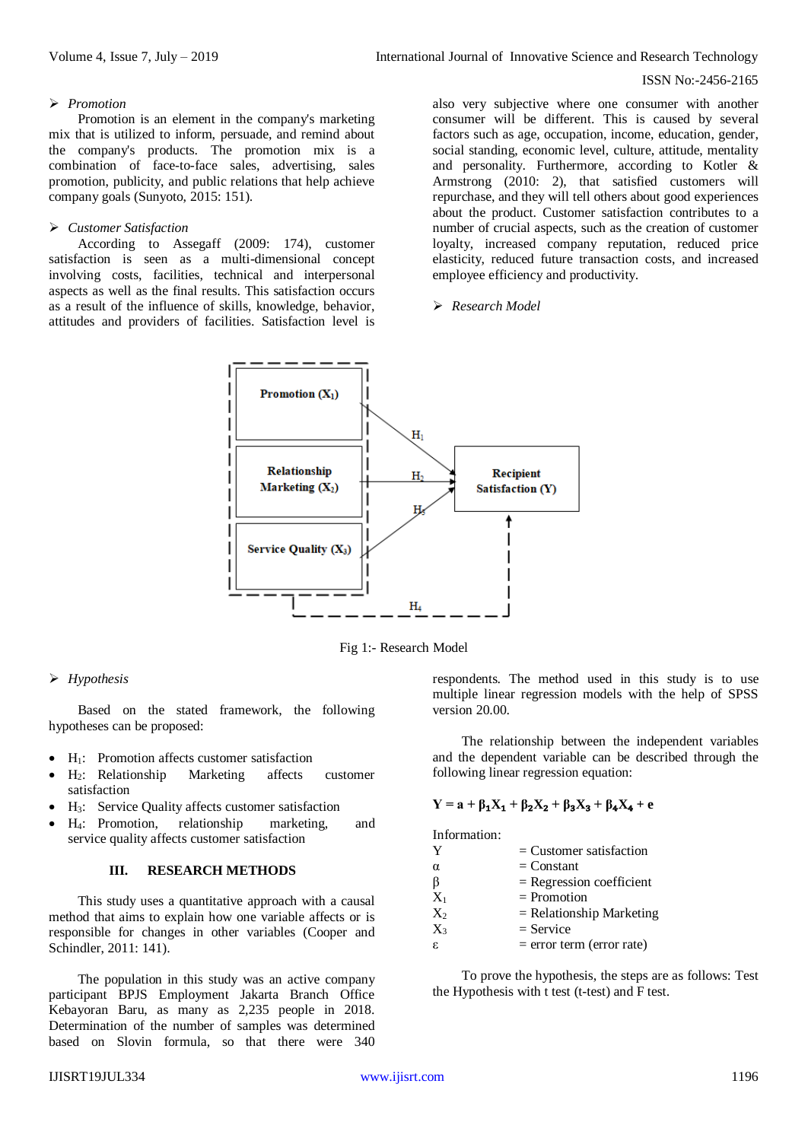#### *Promotion*

Promotion is an element in the company's marketing mix that is utilized to inform, persuade, and remind about the company's products. The promotion mix is a combination of face-to-face sales, advertising, sales promotion, publicity, and public relations that help achieve company goals (Sunyoto, 2015: 151).

#### *Customer Satisfaction*

According to Assegaff (2009: 174), customer satisfaction is seen as a multi-dimensional concept involving costs, facilities, technical and interpersonal aspects as well as the final results. This satisfaction occurs as a result of the influence of skills, knowledge, behavior, attitudes and providers of facilities. Satisfaction level is

also very subjective where one consumer with another consumer will be different. This is caused by several factors such as age, occupation, income, education, gender, social standing, economic level, culture, attitude, mentality and personality. Furthermore, according to Kotler & Armstrong (2010: 2), that satisfied customers will repurchase, and they will tell others about good experiences about the product. Customer satisfaction contributes to a number of crucial aspects, such as the creation of customer loyalty, increased company reputation, reduced price elasticity, reduced future transaction costs, and increased employee efficiency and productivity.

#### *Research Model*



Fig 1:- Research Model

# *Hypothesis*

Based on the stated framework, the following hypotheses can be proposed:

- H1: Promotion affects customer satisfaction
- H2: Relationship Marketing affects customer satisfaction
- H3: Service Quality affects customer satisfaction
- H4: Promotion, relationship marketing, and service quality affects customer satisfaction

#### **III. RESEARCH METHODS**

This study uses a quantitative approach with a causal method that aims to explain how one variable affects or is responsible for changes in other variables (Cooper and Schindler, 2011: 141).

The population in this study was an active company participant BPJS Employment Jakarta Branch Office Kebayoran Baru, as many as 2,235 people in 2018. Determination of the number of samples was determined based on Slovin formula, so that there were 340 respondents. The method used in this study is to use multiple linear regression models with the help of SPSS version 20.00.

The relationship between the independent variables and the dependent variable can be described through the following linear regression equation:

# $Y = a + β<sub>1</sub>X<sub>1</sub> + β<sub>2</sub>X<sub>2</sub> + β<sub>3</sub>X<sub>3</sub> + β<sub>4</sub>X<sub>4</sub> + e$

Information:

| Y        | $=$ Customer satisfaction   |
|----------|-----------------------------|
| $\alpha$ | $=$ Constant                |
| β        | $=$ Regression coefficient  |
| $X_1$    | $=$ Promotion               |
| $X_2$    | $=$ Relationship Marketing  |
| $X_3$    | $=$ Service                 |
| ε.       | $=$ error term (error rate) |

To prove the hypothesis, the steps are as follows: Test the Hypothesis with t test (t-test) and F test.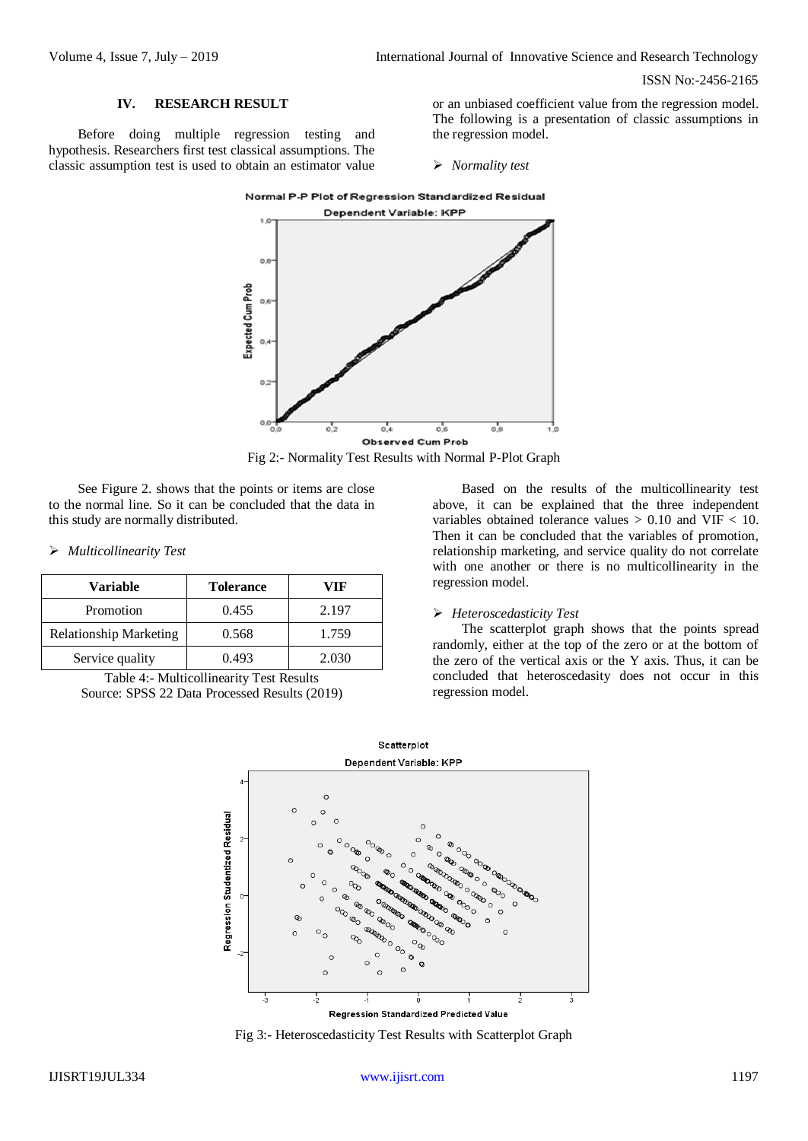#### **IV. RESEARCH RESULT**

Before doing multiple regression testing and hypothesis. Researchers first test classical assumptions. The classic assumption test is used to obtain an estimator value

or an unbiased coefficient value from the regression model. The following is a presentation of classic assumptions in the regression model.

*Normality test*



Fig 2:- Normality Test Results with Normal P-Plot Graph

See Figure 2. shows that the points or items are close to the normal line. So it can be concluded that the data in this study are normally distributed.

*Multicollinearity Test*

| <b>Variable</b>               | <b>Tolerance</b> | VIF   |
|-------------------------------|------------------|-------|
| Promotion                     | 0.455            | 2.197 |
| <b>Relationship Marketing</b> | 0.568            | 1.759 |
| Service quality               | 0.493            | 2.030 |

Table 4:- Multicollinearity Test Results Source: SPSS 22 Data Processed Results (2019)

Based on the results of the multicollinearity test above, it can be explained that the three independent variables obtained tolerance values > 0.10 and VIF < 10. Then it can be concluded that the variables of promotion, relationship marketing, and service quality do not correlate with one another or there is no multicollinearity in the regression model.

#### *Heteroscedasticity Test*

The scatterplot graph shows that the points spread randomly, either at the top of the zero or at the bottom of the zero of the vertical axis or the Y axis. Thus, it can be concluded that heteroscedasity does not occur in this regression model.



Fig 3:- Heteroscedasticity Test Results with Scatterplot Graph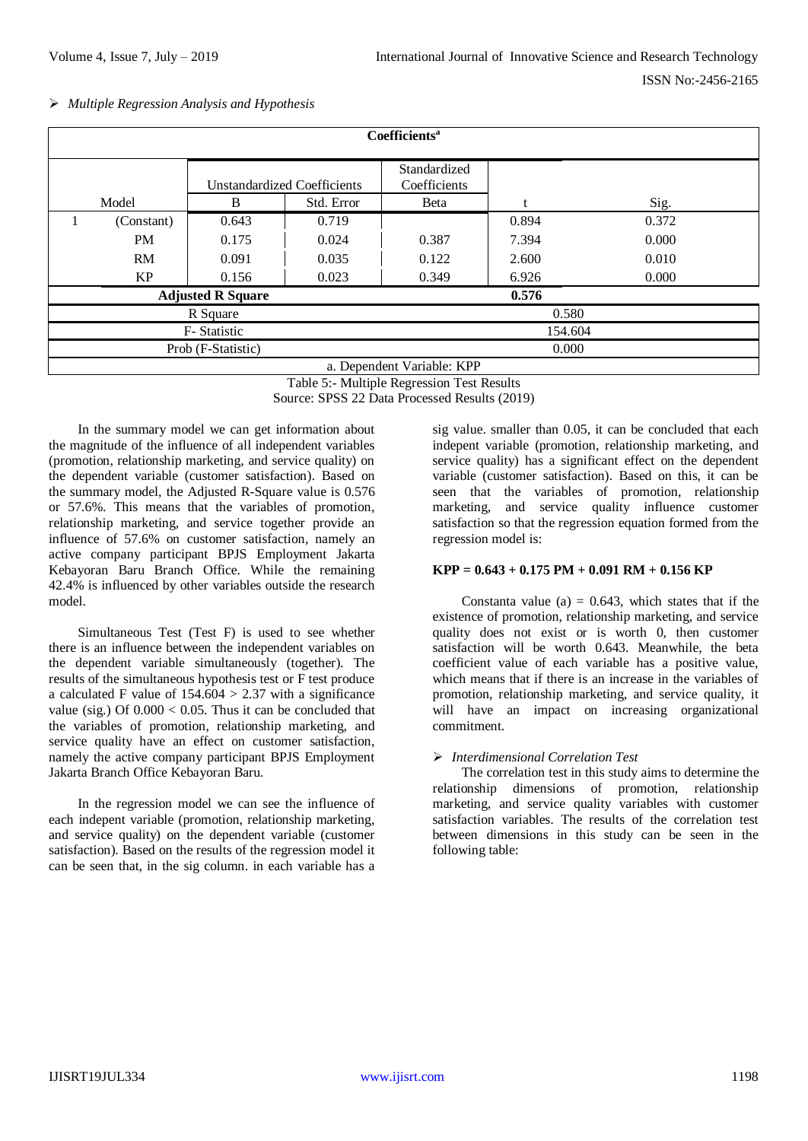*Multiple Regression Analysis and Hypothesis*

| Coefficients <sup>a</sup>  |                                   |                                    |            |                              |       |       |  |
|----------------------------|-----------------------------------|------------------------------------|------------|------------------------------|-------|-------|--|
|                            |                                   | <b>Unstandardized Coefficients</b> |            | Standardized<br>Coefficients |       |       |  |
|                            | Model                             | B                                  | Std. Error | Beta                         |       | Sig.  |  |
|                            | (Constant)                        | 0.643                              | 0.719      |                              | 0.894 | 0.372 |  |
|                            | PM                                | 0.175                              | 0.024      | 0.387                        | 7.394 | 0.000 |  |
|                            | RM                                | 0.091                              | 0.035      | 0.122                        | 2.600 | 0.010 |  |
|                            | KP                                | 0.156                              | 0.023      | 0.349                        | 6.926 | 0.000 |  |
|                            | 0.576<br><b>Adjusted R Square</b> |                                    |            |                              |       |       |  |
| R Square                   |                                   |                                    |            | 0.580                        |       |       |  |
| F-Statistic                |                                   |                                    |            | 154.604                      |       |       |  |
| Prob (F-Statistic)         |                                   |                                    |            | 0.000                        |       |       |  |
| a. Dependent Variable: KPP |                                   |                                    |            |                              |       |       |  |

Table 5:- Multiple Regression Test Results

Source: SPSS 22 Data Processed Results (2019)

In the summary model we can get information about the magnitude of the influence of all independent variables (promotion, relationship marketing, and service quality) on the dependent variable (customer satisfaction). Based on the summary model, the Adjusted R-Square value is 0.576 or 57.6%. This means that the variables of promotion, relationship marketing, and service together provide an influence of 57.6% on customer satisfaction, namely an active company participant BPJS Employment Jakarta Kebayoran Baru Branch Office. While the remaining 42.4% is influenced by other variables outside the research model.

Simultaneous Test (Test F) is used to see whether there is an influence between the independent variables on the dependent variable simultaneously (together). The results of the simultaneous hypothesis test or F test produce a calculated F value of  $154.604 > 2.37$  with a significance value (sig.) Of  $0.000 < 0.05$ . Thus it can be concluded that the variables of promotion, relationship marketing, and service quality have an effect on customer satisfaction, namely the active company participant BPJS Employment Jakarta Branch Office Kebayoran Baru.

In the regression model we can see the influence of each indepent variable (promotion, relationship marketing, and service quality) on the dependent variable (customer satisfaction). Based on the results of the regression model it can be seen that, in the sig column. in each variable has a

sig value. smaller than 0.05, it can be concluded that each indepent variable (promotion, relationship marketing, and service quality) has a significant effect on the dependent variable (customer satisfaction). Based on this, it can be seen that the variables of promotion, relationship marketing, and service quality influence customer satisfaction so that the regression equation formed from the regression model is:

#### **KPP = 0.643 + 0.175 PM + 0.091 RM + 0.156 KP**

Constanta value (a)  $= 0.643$ , which states that if the existence of promotion, relationship marketing, and service quality does not exist or is worth 0, then customer satisfaction will be worth 0.643. Meanwhile, the beta coefficient value of each variable has a positive value, which means that if there is an increase in the variables of promotion, relationship marketing, and service quality, it will have an impact on increasing organizational commitment.

# *Interdimensional Correlation Test*

The correlation test in this study aims to determine the relationship dimensions of promotion, relationship marketing, and service quality variables with customer satisfaction variables. The results of the correlation test between dimensions in this study can be seen in the following table: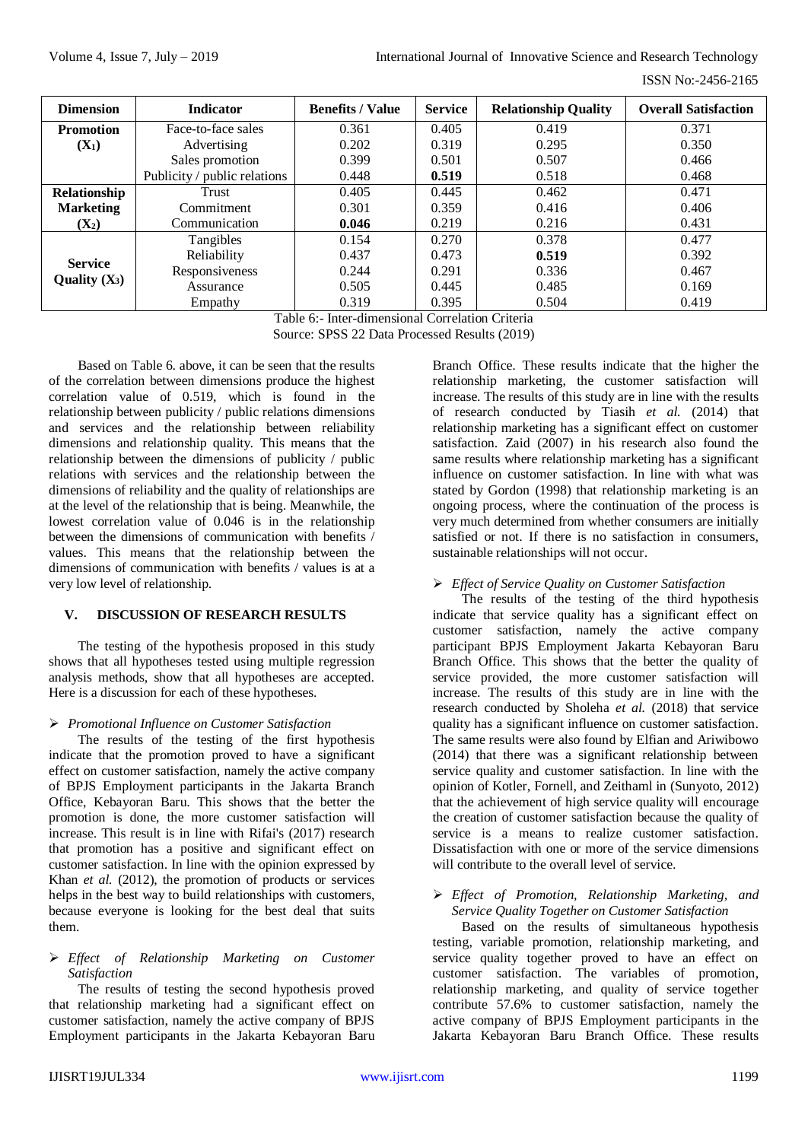| <b>Dimension</b> | <b>Indicator</b>             | <b>Benefits / Value</b> | <b>Service</b> | <b>Relationship Quality</b> | <b>Overall Satisfaction</b> |
|------------------|------------------------------|-------------------------|----------------|-----------------------------|-----------------------------|
| <b>Promotion</b> | Face-to-face sales           | 0.361                   | 0.405          | 0.419                       | 0.371                       |
| $(X_1)$          | Advertising                  | 0.202                   | 0.319          | 0.295                       | 0.350                       |
|                  | Sales promotion              | 0.399                   | 0.501          | 0.507                       | 0.466                       |
|                  | Publicity / public relations | 0.448                   | 0.519          | 0.518                       | 0.468                       |
| Relationship     | Trust                        | 0.405                   | 0.445          | 0.462                       | 0.471                       |
| <b>Marketing</b> | Commitment                   | 0.301                   | 0.359          | 0.416                       | 0.406                       |
| $(X_2)$          | Communication                | 0.046                   | 0.219          | 0.216                       | 0.431                       |
|                  | Tangibles                    | 0.154                   | 0.270          | 0.378                       | 0.477                       |
| <b>Service</b>   | Reliability                  | 0.437                   | 0.473          | 0.519                       | 0.392                       |
| Quality $(X_3)$  | Responsiveness               | 0.244                   | 0.291          | 0.336                       | 0.467                       |
|                  | Assurance                    | 0.505                   | 0.445          | 0.485                       | 0.169                       |
|                  | Empathy                      | 0.319                   | 0.395          | 0.504                       | 0.419                       |

Table 6:- Inter-dimensional Correlation Criteria

Source: SPSS 22 Data Processed Results (2019)

Based on Table 6. above, it can be seen that the results of the correlation between dimensions produce the highest correlation value of 0.519, which is found in the relationship between publicity / public relations dimensions and services and the relationship between reliability dimensions and relationship quality. This means that the relationship between the dimensions of publicity / public relations with services and the relationship between the dimensions of reliability and the quality of relationships are at the level of the relationship that is being. Meanwhile, the lowest correlation value of 0.046 is in the relationship between the dimensions of communication with benefits / values. This means that the relationship between the dimensions of communication with benefits / values is at a very low level of relationship.

# **V. DISCUSSION OF RESEARCH RESULTS**

The testing of the hypothesis proposed in this study shows that all hypotheses tested using multiple regression analysis methods, show that all hypotheses are accepted. Here is a discussion for each of these hypotheses.

# *Promotional Influence on Customer Satisfaction*

The results of the testing of the first hypothesis indicate that the promotion proved to have a significant effect on customer satisfaction, namely the active company of BPJS Employment participants in the Jakarta Branch Office, Kebayoran Baru. This shows that the better the promotion is done, the more customer satisfaction will increase. This result is in line with Rifai's (2017) research that promotion has a positive and significant effect on customer satisfaction. In line with the opinion expressed by Khan *et al.* (2012), the promotion of products or services helps in the best way to build relationships with customers, because everyone is looking for the best deal that suits them.

# *Effect of Relationship Marketing on Customer Satisfaction*

The results of testing the second hypothesis proved that relationship marketing had a significant effect on customer satisfaction, namely the active company of BPJS Employment participants in the Jakarta Kebayoran Baru Branch Office. These results indicate that the higher the relationship marketing, the customer satisfaction will increase. The results of this study are in line with the results of research conducted by Tiasih *et al.* (2014) that relationship marketing has a significant effect on customer satisfaction. Zaid (2007) in his research also found the same results where relationship marketing has a significant influence on customer satisfaction. In line with what was stated by Gordon (1998) that relationship marketing is an ongoing process, where the continuation of the process is very much determined from whether consumers are initially satisfied or not. If there is no satisfaction in consumers, sustainable relationships will not occur.

# *Effect of Service Quality on Customer Satisfaction*

The results of the testing of the third hypothesis indicate that service quality has a significant effect on customer satisfaction, namely the active company participant BPJS Employment Jakarta Kebayoran Baru Branch Office. This shows that the better the quality of service provided, the more customer satisfaction will increase. The results of this study are in line with the research conducted by Sholeha *et al.* (2018) that service quality has a significant influence on customer satisfaction. The same results were also found by Elfian and Ariwibowo (2014) that there was a significant relationship between service quality and customer satisfaction. In line with the opinion of Kotler, Fornell, and Zeithaml in (Sunyoto, 2012) that the achievement of high service quality will encourage the creation of customer satisfaction because the quality of service is a means to realize customer satisfaction. Dissatisfaction with one or more of the service dimensions will contribute to the overall level of service.

#### *Effect of Promotion, Relationship Marketing, and Service Quality Together on Customer Satisfaction*

Based on the results of simultaneous hypothesis testing, variable promotion, relationship marketing, and service quality together proved to have an effect on customer satisfaction. The variables of promotion, relationship marketing, and quality of service together contribute 57.6% to customer satisfaction, namely the active company of BPJS Employment participants in the Jakarta Kebayoran Baru Branch Office. These results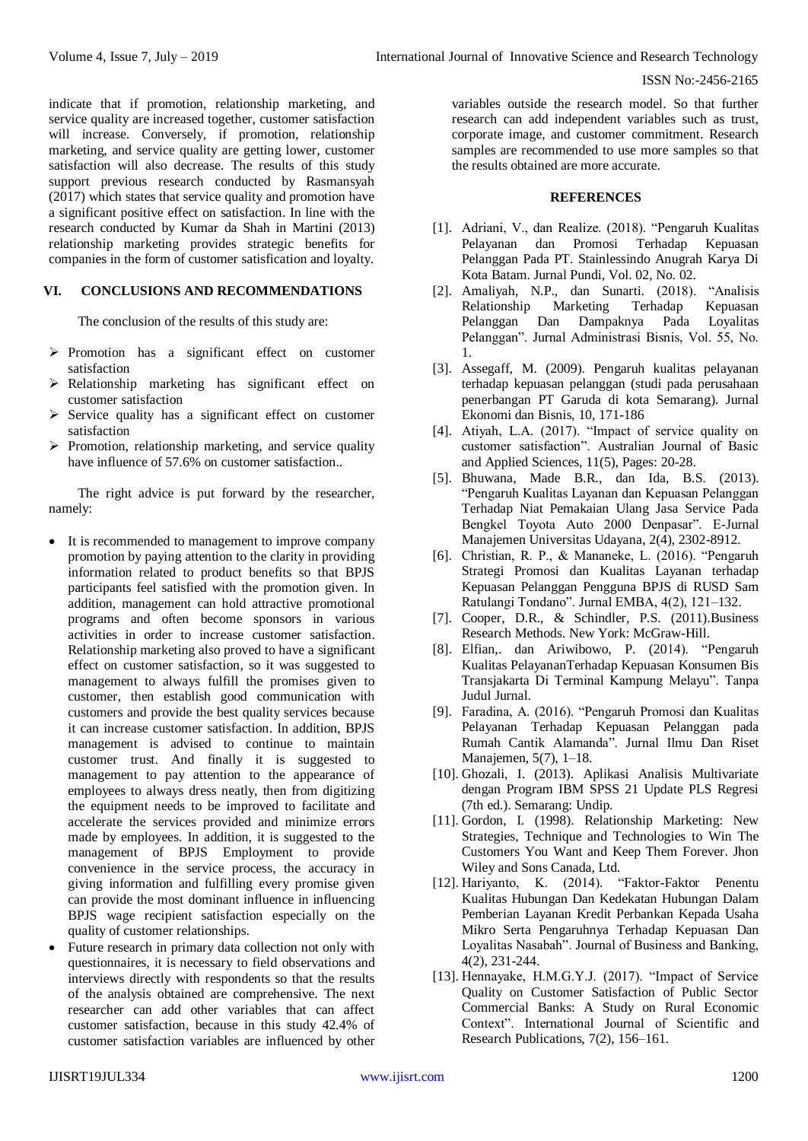indicate that if promotion, relationship marketing, and service quality are increased together, customer satisfaction will increase. Conversely, if promotion, relationship marketing, and service quality are getting lower, customer satisfaction will also decrease. The results of this study support previous research conducted by Rasmansyah (2017) which states that service quality and promotion have a significant positive effect on satisfaction. In line with the research conducted by Kumar da Shah in Martini (2013) relationship marketing provides strategic benefits for companies in the form of customer satisfication and loyalty.

# **VI. CONCLUSIONS AND RECOMMENDATIONS**

The conclusion of the results of this study are:

- $\triangleright$  Promotion has a significant effect on customer satisfaction
- $\triangleright$  Relationship marketing has significant effect on customer satisfaction
- $\triangleright$  Service quality has a significant effect on customer satisfaction
- $\triangleright$  Promotion, relationship marketing, and service quality have influence of 57.6% on customer satisfaction..

The right advice is put forward by the researcher, namely:

- It is recommended to management to improve company promotion by paying attention to the clarity in providing information related to product benefits so that BPJS participants feel satisfied with the promotion given. In addition, management can hold attractive promotional programs and often become sponsors in various activities in order to increase customer satisfaction. Relationship marketing also proved to have a significant effect on customer satisfaction, so it was suggested to management to always fulfill the promises given to customer, then establish good communication with customers and provide the best quality services because it can increase customer satisfaction. In addition, BPJS management is advised to continue to maintain customer trust. And finally it is suggested to management to pay attention to the appearance of employees to always dress neatly, then from digitizing the equipment needs to be improved to facilitate and accelerate the services provided and minimize errors made by employees. In addition, it is suggested to the management of BPJS Employment to provide convenience in the service process, the accuracy in giving information and fulfilling every promise given can provide the most dominant influence in influencing BPJS wage recipient satisfaction especially on the quality of customer relationships.
- Future research in primary data collection not only with questionnaires, it is necessary to field observations and interviews directly with respondents so that the results of the analysis obtained are comprehensive. The next researcher can add other variables that can affect customer satisfaction, because in this study 42.4% of customer satisfaction variables are influenced by other

variables outside the research model. So that further research can add independent variables such as trust, corporate image, and customer commitment. Research samples are recommended to use more samples so that the results obtained are more accurate.

#### **REFERENCES**

- [1]. Adriani, V., dan Realize. (2018). "Pengaruh Kualitas Pelayanan dan Promosi Terhadap Kepuasan Pelanggan Pada PT. Stainlessindo Anugrah Karya Di Kota Batam. Jurnal Pundi, Vol. 02, No. 02.
- [2]. Amaliyah, N.P., dan Sunarti. (2018). "Analisis Relationship Marketing Terhadap Kepuasan Pelanggan Dan Dampaknya Pada Loyalitas Pelanggan". Jurnal Administrasi Bisnis, Vol. 55, No. 1.
- [3]. Assegaff, M. (2009). Pengaruh kualitas pelayanan terhadap kepuasan pelanggan (studi pada perusahaan penerbangan PT Garuda di kota Semarang). Jurnal Ekonomi dan Bisnis, 10, 171-186
- [4]. Atiyah, L.A. (2017). "Impact of service quality on customer satisfaction". Australian Journal of Basic and Applied Sciences, 11(5), Pages: 20-28.
- [5]. Bhuwana, Made B.R., dan Ida, B.S. (2013). "Pengaruh Kualitas Layanan dan Kepuasan Pelanggan Terhadap Niat Pemakaian Ulang Jasa Service Pada Bengkel Toyota Auto 2000 Denpasar". E-Jurnal Manajemen Universitas Udayana, 2(4), 2302-8912.
- [6]. Christian, R. P., & Mananeke, L. (2016). "Pengaruh Strategi Promosi dan Kualitas Layanan terhadap Kepuasan Pelanggan Pengguna BPJS di RUSD Sam Ratulangi Tondano". Jurnal EMBA, 4(2), 121–132.
- [7]. Cooper, D.R., & Schindler, P.S. (2011).Business Research Methods. New York: McGraw-Hill.
- [8]. Elfian,. dan Ariwibowo, P. (2014). "Pengaruh Kualitas PelayananTerhadap Kepuasan Konsumen Bis Transjakarta Di Terminal Kampung Melayu". Tanpa Judul Jurnal.
- [9]. Faradina, A. (2016). "Pengaruh Promosi dan Kualitas Pelayanan Terhadap Kepuasan Pelanggan pada Rumah Cantik Alamanda". Jurnal Ilmu Dan Riset Manajemen, 5(7), 1–18.
- [10]. Ghozali, I. (2013). Aplikasi Analisis Multivariate dengan Program IBM SPSS 21 Update PLS Regresi (7th ed.). Semarang: Undip.
- [11]. Gordon, I. (1998). Relationship Marketing: New Strategies, Technique and Technologies to Win The Customers You Want and Keep Them Forever. Jhon Wiley and Sons Canada, Ltd.
- [12]. Hariyanto, K. (2014). "Faktor-Faktor Penentu Kualitas Hubungan Dan Kedekatan Hubungan Dalam Pemberian Layanan Kredit Perbankan Kepada Usaha Mikro Serta Pengaruhnya Terhadap Kepuasan Dan Loyalitas Nasabah". Journal of Business and Banking, 4(2), 231-244.
- [13]. Hennayake, H.M.G.Y.J. (2017). "Impact of Service Quality on Customer Satisfaction of Public Sector Commercial Banks: A Study on Rural Economic Context". International Journal of Scientific and Research Publications, 7(2), 156–161.